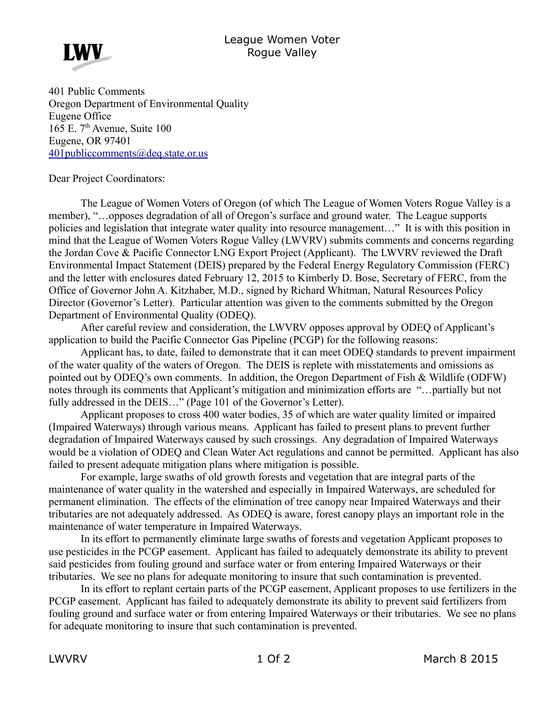## League Women Voter Rogue Valley



401 Public Comments Oregon Department of Environmental Quality Eugene Office  $165$  E.  $7<sup>th</sup>$  Avenue, Suite 100 Eugene, OR 97401 [401publiccomments@deq.state.or.us](mailto:401publiccomments@deq.state.or.us)

## Dear Project Coordinators:

The League of Women Voters of Oregon (of which The League of Women Voters Rogue Valley is a member), "…opposes degradation of all of Oregon's surface and ground water. The League supports policies and legislation that integrate water quality into resource management…" It is with this position in mind that the League of Women Voters Rogue Valley (LWVRV) submits comments and concerns regarding the Jordan Cove & Pacific Connector LNG Export Project (Applicant). The LWVRV reviewed the Draft Environmental Impact Statement (DEIS) prepared by the Federal Energy Regulatory Commission (FERC) and the letter with enclosures dated February 12, 2015 to Kimberly D. Bose, Secretary of FERC, from the Office of Governor John A. Kitzhaber, M.D., signed by Richard Whitman, Natural Resources Policy Director (Governor's Letter). Particular attention was given to the comments submitted by the Oregon Department of Environmental Quality (ODEQ).

After careful review and consideration, the LWVRV opposes approval by ODEQ of Applicant's application to build the Pacific Connector Gas Pipeline (PCGP) for the following reasons:

Applicant has, to date, failed to demonstrate that it can meet ODEQ standards to prevent impairment of the water quality of the waters of Oregon. The DEIS is replete with misstatements and omissions as pointed out by ODEQ's own comments. In addition, the Oregon Department of Fish & Wildlife (ODFW) notes through its comments that Applicant's mitigation and minimization efforts are "…partially but not fully addressed in the DEIS..." (Page 101 of the Governor's Letter).

Applicant proposes to cross 400 water bodies, 35 of which are water quality limited or impaired (Impaired Waterways) through various means. Applicant has failed to present plans to prevent further degradation of Impaired Waterways caused by such crossings. Any degradation of Impaired Waterways would be a violation of ODEQ and Clean Water Act regulations and cannot be permitted. Applicant has also failed to present adequate mitigation plans where mitigation is possible.

For example, large swaths of old growth forests and vegetation that are integral parts of the maintenance of water quality in the watershed and especially in Impaired Waterways, are scheduled for permanent elimination. The effects of the elimination of tree canopy near Impaired Waterways and their tributaries are not adequately addressed. As ODEQ is aware, forest canopy plays an important role in the maintenance of water temperature in Impaired Waterways.

In its effort to permanently eliminate large swaths of forests and vegetation Applicant proposes to use pesticides in the PCGP easement. Applicant has failed to adequately demonstrate its ability to prevent said pesticides from fouling ground and surface water or from entering Impaired Waterways or their tributaries. We see no plans for adequate monitoring to insure that such contamination is prevented.

In its effort to replant certain parts of the PCGP easement, Applicant proposes to use fertilizers in the PCGP easement. Applicant has failed to adequately demonstrate its ability to prevent said fertilizers from fouling ground and surface water or from entering Impaired Waterways or their tributaries. We see no plans for adequate monitoring to insure that such contamination is prevented.